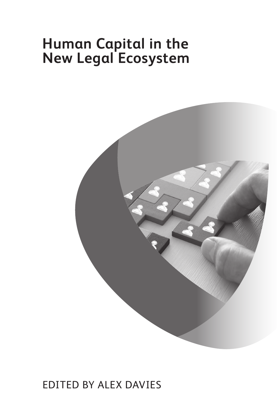# **Human Capital in the New Legal Ecosystem**



### Edited by Alex Davies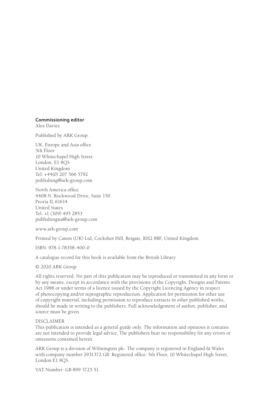#### **Commissioning editor**

Alex Davies

Published by ARK Group:

UK, Europe and Asia office 5th Floor 10 Whitechapel High Street London, E1 8QS United Kingdom Tel: +44(0) 207 566 5792 publishing@ark-group.com

North America office 4408 N. Rockwood Drive, Suite 150 Peoria IL 61614 United States Tel: +1 (309) 495 2853 publishingna@ark-group.com

www.ark-group.com

Printed by Canon (UK) Ltd, Cockshot Hill, Reigate, RH2 8BF, United Kingdom

ISBN: 978-1-78358-400-0

A catalogue record for this book is available from the British Library

© 2020 ARK Group

All rights reserved. No part of this publication may be reproduced or transmitted in any form or by any means, except in accordance with the provisions of the Copyright, Designs and Patents Act 1988 or under terms of a licence issued by the Copyright Licencing Agency in respect of photocopying and/or reprographic reproduction. Application for permission for other use of copyright material, including permission to reproduce extracts in other published works, should be made in writing to the publishers. Full acknowledgement of author, publisher, and source must be given.

#### DISCLAIMER

This publication is intended as a general guide only. The information and opinions it contains are not intended to provide legal advice. The publishers bear no responsibility for any errors or omissions contained herein.

ARK Group is a division of Wilmington plc. The company is registered in England & Wales with company number 2931372 GB. Registered office: 5th Floor, 10 Whitechapel High Street, London E1 8QS.

VAT Number: GB 899 3725 51.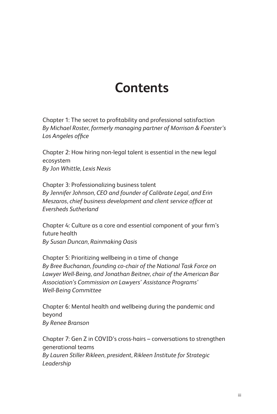## **Contents**

Chapter 1: The secret to profitability and professional satisfaction *By Michael Roster, formerly managing partner of Morrison & Foerster's Los Angeles office*

Chapter 2: How hiring non-legal talent is essential in the new legal ecosystem *By Jon Whittle, Lexis Nexis*

Chapter 3: Professionalizing business talent *By Jennifer Johnson, CEO and founder of Calibrate Legal, and Erin Meszaros, chief business development and client service officer at Eversheds Sutherland*

Chapter 4: Culture as a core and essential component of your firm's future health *By Susan Duncan, Rainmaking Oasis*

Chapter 5: Prioritizing wellbeing in a time of change *By Bree Buchanan, founding co-chair of the National Task Force on Lawyer Well-Being, and Jonathan Beitner, chair of the American Bar Association's Commission on Lawyers' Assistance Programs' Well-Being Committee* 

Chapter 6: Mental health and wellbeing during the pandemic and beyond *By Renee Branson*

Chapter 7: Gen Z in COVID 's cross-hairs – conversations to strengthen generational teams *By Lauren Stiller Rikleen, president, Rikleen Institute for Strategic Leadership*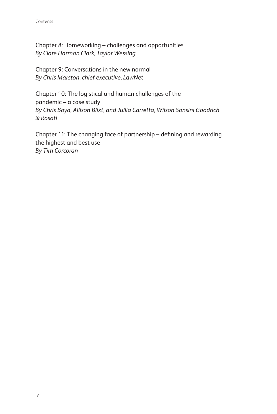Chapter 8: Homeworking – challenges and opportunities *By Clare Harman Clark, Taylor Wessing*

Chapter 9: Conversations in the new normal *By Chris Marston, chief executive, LawNet*

Chapter 10: The logistical and human challenges of the pandemic – a case study *By Chris Boyd, Allison Blixt, and Jullia Carretta, Wilson Sonsini Goodrich & Rosati*

Chapter 11: The changing face of partnership – defining and rewarding the highest and best use *By Tim Corcoran*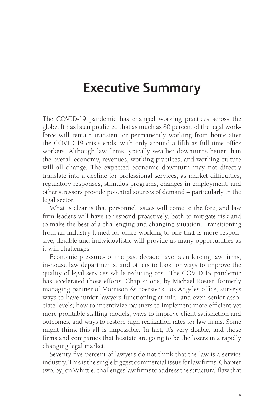### **Executive Summary**

The COVID-19 pandemic has changed working practices across the globe. It has been predicted that as much as 80 percent of the legal workforce will remain transient or permanently working from home after the COVID-19 crisis ends, with only around a fifth as full-time office workers. Although law firms typically weather downturns better than the overall economy, revenues, working practices, and working culture will all change. The expected economic downturn may not directly translate into a decline for professional services, as market difficulties, regulatory responses, stimulus programs, changes in employment, and other stressors provide potential sources of demand – particularly in the legal sector.

What is clear is that personnel issues will come to the fore, and law firm leaders will have to respond proactively, both to mitigate risk and to make the best of a challenging and changing situation. Transitioning from an industry famed for office working to one that is more responsive, flexible and individualistic will provide as many opportunities as it will challenges.

Economic pressures of the past decade have been forcing law firms, in-house law departments, and others to look for ways to improve the quality of legal services while reducing cost. The COVID-19 pandemic has accelerated those efforts. Chapter one, by Michael Roster, formerly managing partner of Morrison & Foerster's Los Angeles office, surveys ways to have junior lawyers functioning at mid- and even senior-associate levels; how to incentivize partners to implement more efficient yet more profitable staffing models; ways to improve client satisfaction and outcomes; and ways to restore high realization rates for law firms. Some might think this all is impossible. In fact, it's very doable, and those firms and companies that hesitate are going to be the losers in a rapidly changing legal market.

Seventy-five percent of lawyers do not think that the law is a service industry. This is the single biggest commercial issue for law firms. Chapter two, by Jon Whittle, challenges law firms to address the structural flaw that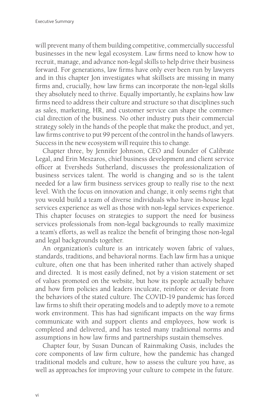will prevent many of them building competitive, commercially successful businesses in the new legal ecosystem. Law firms need to know how to recruit, manage, and advance non-legal skills to help drive their business forward. For generations, law firms have only ever been run by lawyers and in this chapter Jon investigates what skillsets are missing in many firms and, crucially, how law firms can incorporate the non-legal skills they absolutely need to thrive. Equally importantly, he explains how law firms need to address their culture and structure so that disciplines such as sales, marketing, HR, and customer service can shape the commercial direction of the business. No other industry puts their commercial strategy solely in the hands of the people that make the product, and yet, law firms contrive to put 99 percent of the control in the hands of lawyers. Success in the new ecosystem will require this to change.

Chapter three, by Jennifer Johnson, CEO and founder of Calibrate Legal, and Erin Meszaros, chief business development and client service officer at Eversheds Sutherland, discusses the professionalization of business services talent. The world is changing and so is the talent needed for a law firm business services group to really rise to the next level. With the focus on innovation and change, it only seems right that you would build a team of diverse individuals who have in-house legal services experience as well as those with non-legal services experience. This chapter focuses on strategies to support the need for business services professionals from non-legal backgrounds to really maximize a team's efforts, as well as realize the benefit of bringing those non-legal and legal backgrounds together.

An organization's culture is an intricately woven fabric of values, standards, traditions, and behavioral norms. Each law firm has a unique culture, often one that has been inherited rather than actively shaped and directed. It is most easily defined, not by a vision statement or set of values promoted on the website, but how its people actually behave and how firm policies and leaders inculcate, reinforce or deviate from the behaviors of the stated culture. The COVID-19 pandemic has forced law firms to shift their operating models and to adeptly move to a remote work environment. This has had significant impacts on the way firms communicate with and support clients and employees, how work is completed and delivered, and has tested many traditional norms and assumptions in how law firms and partnerships sustain themselves.

Chapter four, by Susan Duncan of Rainmaking Oasis, includes the core components of law firm culture, how the pandemic has changed traditional models and culture, how to assess the culture you have, as well as approaches for improving your culture to compete in the future.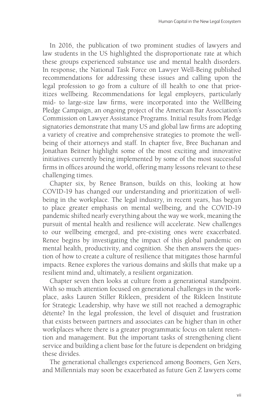In 2016, the publication of two prominent studies of lawyers and law students in the US highlighted the disproportionate rate at which these groups experienced substance use and mental health disorders. In response, the National Task Force on Lawyer Well-Being published recommendations for addressing these issues and calling upon the legal profession to go from a culture of ill health to one that prioritizes wellbeing. Recommendations for legal employers, particularly mid- to large-size law firms, were incorporated into the WellBeing Pledge Campaign, an ongoing project of the American Bar Association's Commission on Lawyer Assistance Programs. Initial results from Pledge signatories demonstrate that many US and global law firms are adopting a variety of creative and comprehensive strategies to promote the wellbeing of their attorneys and staff. In chapter five, Bree Buchanan and Jonathan Beitner highlight some of the most exciting and innovative initiatives currently being implemented by some of the most successful firms in offices around the world, offering many lessons relevant to these challenging times.

Chapter six, by Renee Branson, builds on this, looking at how COVID-19 has changed our understanding and prioritization of wellbeing in the workplace. The legal industry, in recent years, has begun to place greater emphasis on mental wellbeing, and the COVID-19 pandemic shifted nearly everything about the way we work, meaning the pursuit of mental health and resilience will accelerate. New challenges to our wellbeing emerged, and pre-existing ones were exacerbated. Renee begins by investigating the impact of this global pandemic on mental health, productivity, and cognition. She then answers the question of how to create a culture of resilience that mitigates those harmful impacts. Renee explores the various domains and skills that make up a resilient mind and, ultimately, a resilient organization.

Chapter seven then looks at culture from a generational standpoint. With so much attention focused on generational challenges in the workplace, asks Lauren Stiller Rikleen, president of the Rikleen Institute for Strategic Leadership, why have we still not reached a demographic détente? In the legal profession, the level of disquiet and frustration that exists between partners and associates can be higher than in other workplaces where there is a greater programmatic focus on talent retention and management. But the important tasks of strengthening client service and building a client base for the future is dependent on bridging these divides.

The generational challenges experienced among Boomers, Gen Xers, and Millennials may soon be exacerbated as future Gen Z lawyers come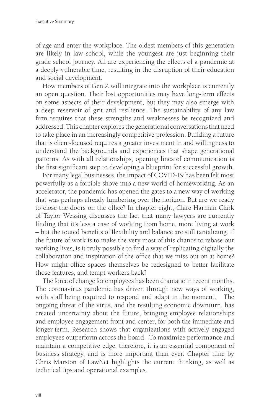of age and enter the workplace. The oldest members of this generation are likely in law school, while the youngest are just beginning their grade school journey. All are experiencing the effects of a pandemic at a deeply vulnerable time, resulting in the disruption of their education and social development.

How members of Gen Z will integrate into the workplace is currently an open question. Their lost opportunities may have long-term effects on some aspects of their development, but they may also emerge with a deep reservoir of grit and resilience. The sustainability of any law firm requires that these strengths and weaknesses be recognized and addressed. This chapter explores the generational conversations that need to take place in an increasingly competitive profession. Building a future that is client-focused requires a greater investment in and willingness to understand the backgrounds and experiences that shape generational patterns. As with all relationships, opening lines of communication is the first significant step to developing a blueprint for successful growth.

For many legal businesses, the impact of COVID-19 has been felt most powerfully as a forcible shove into a new world of homeworking. As an accelerator, the pandemic has opened the gates to a new way of working that was perhaps already lumbering over the horizon. But are we ready to close the doors on the office? In chapter eight, Clare Harman Clark of Taylor Wessing discusses the fact that many lawyers are currently finding that it's less a case of working from home, more living at work – but the touted benefits of flexibility and balance are still tantalizing. If the future of work is to make the very most of this chance to rebase our working lives, is it truly possible to find a way of replicating digitally the collaboration and inspiration of the office that we miss out on at home? How might office spaces themselves be redesigned to better facilitate those features, and tempt workers back?

The force of change for employees has been dramatic in recent months. The coronavirus pandemic has driven through new ways of working, with staff being required to respond and adapt in the moment. The ongoing threat of the virus, and the resulting economic downturn, has created uncertainty about the future, bringing employee relationships and employee engagement front and center, for both the immediate and longer-term. Research shows that organizations with actively engaged employees outperform across the board. To maximize performance and maintain a competitive edge, therefore, it is an essential component of business strategy, and is more important than ever. Chapter nine by Chris Marston of LawNet highlights the current thinking, as well as technical tips and operational examples.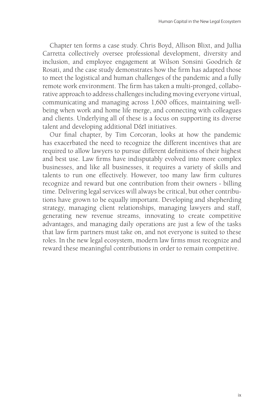Chapter ten forms a case study. Chris Boyd, Allison Blixt, and Jullia Carretta collectively oversee professional development, diversity and inclusion, and employee engagement at Wilson Sonsini Goodrich & Rosati, and the case study demonstrates how the firm has adapted those to meet the logistical and human challenges of the pandemic and a fully remote work environment. The firm has taken a multi-pronged, collaborative approach to address challenges including moving everyone virtual, communicating and managing across 1,600 offices, maintaining wellbeing when work and home life merge, and connecting with colleagues and clients. Underlying all of these is a focus on supporting its diverse talent and developing additional D&I initiatives.

Our final chapter, by Tim Corcoran, looks at how the pandemic has exacerbated the need to recognize the different incentives that are required to allow lawyers to pursue different definitions of their highest and best use. Law firms have indisputably evolved into more complex businesses, and like all businesses, it requires a variety of skills and talents to run one effectively. However, too many law firm cultures recognize and reward but one contribution from their owners - billing time. Delivering legal services will always be critical, but other contributions have grown to be equally important. Developing and shepherding strategy, managing client relationships, managing lawyers and staff, generating new revenue streams, innovating to create competitive advantages, and managing daily operations are just a few of the tasks that law firm partners must take on, and not everyone is suited to these roles. In the new legal ecosystem, modern law firms must recognize and reward these meaningful contributions in order to remain competitive.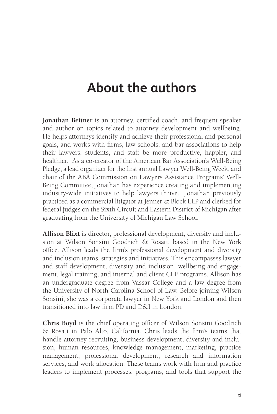## **About the authors**

**Jonathan Beitner** is an attorney, certified coach, and frequent speaker and author on topics related to attorney development and wellbeing. He helps attorneys identify and achieve their professional and personal goals, and works with firms, law schools, and bar associations to help their lawyers, students, and staff be more productive, happier, and healthier. As a co-creator of the American Bar Association's Well-Being Pledge, a lead organizer for the first annual Lawyer Well-Being Week, and chair of the ABA Commission on Lawyers Assistance Programs' Well-Being Committee, Jonathan has experience creating and implementing industry-wide initiatives to help lawyers thrive. Jonathan previously practiced as a commercial litigator at Jenner & Block LLP and clerked for federal judges on the Sixth Circuit and Eastern District of Michigan after graduating from the University of Michigan Law School.

**Allison Blixt** is director, professional development, diversity and inclusion at Wilson Sonsini Goodrich & Rosati, based in the New York office. Allison leads the firm's professional development and diversity and inclusion teams, strategies and initiatives. This encompasses lawyer and staff development, diversity and inclusion, wellbeing and engagement, legal training, and internal and client CLE programs. Allison has an undergraduate degree from Vassar College and a law degree from the University of North Carolina School of Law. Before joining Wilson Sonsini, she was a corporate lawyer in New York and London and then transitioned into law firm PD and D&I in London.

**Chris Boyd** is the chief operating officer of Wilson Sonsini Goodrich & Rosati in Palo Alto, California. Chris leads the firm's teams that handle attorney recruiting, business development, diversity and inclusion, human resources, knowledge management, marketing, practice management, professional development, research and information services, and work allocation. These teams work with firm and practice leaders to implement processes, programs, and tools that support the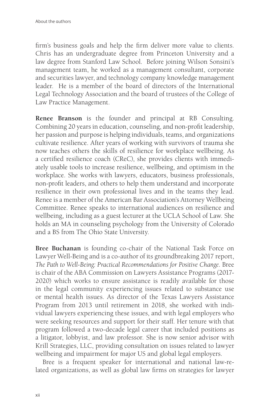firm's business goals and help the firm deliver more value to clients. Chris has an undergraduate degree from Princeton University and a law degree from Stanford Law School. Before joining Wilson Sonsini's management team, he worked as a management consultant, corporate and securities lawyer, and technology company knowledge management leader. He is a member of the board of directors of the International Legal Technology Association and the board of trustees of the College of Law Practice Management.

**Renee Branson** is the founder and principal at RB Consulting. Combining 20 years in education, counseling, and non-profit leadership, her passion and purpose is helping individuals, teams, and organizations cultivate resilience. After years of working with survivors of trauma she now teaches others the skills of resilience for workplace wellbeing. As a certified resilience coach (CReC), she provides clients with immediately usable tools to increase resilience, wellbeing, and optimism in the workplace. She works with lawyers, educators, business professionals, non-profit leaders, and others to help them understand and incorporate resilience in their own professional lives and in the teams they lead. Renee is a member of the American Bar Association's Attorney Wellbeing Committee. Renee speaks to international audiences on resilience and wellbeing, including as a guest lecturer at the UCLA School of Law. She holds an MA in counseling psychology from the University of Colorado and a BS from The Ohio State University.

**Bree Buchanan** is founding co-chair of the National Task Force on Lawyer Well-Being and is a co-author of its groundbreaking 2017 report, *The Path to Well-Being: Practical Recommendations for Positive Change*. Bree is chair of the ABA Commission on Lawyers Assistance Programs (2017- 2020) which works to ensure assistance is readily available for those in the legal community experiencing issues related to substance use or mental health issues. As director of the Texas Lawyers Assistance Program from 2013 until retirement in 2018, she worked with individual lawyers experiencing these issues, and with legal employers who were seeking resources and support for their staff. Her tenure with that program followed a two-decade legal career that included positions as a litigator, lobbyist, and law professor. She is now senior advisor with Krill Strategies, LLC, providing consultation on issues related to lawyer wellbeing and impairment for major US and global legal employers.

Bree is a frequent speaker for international and national law-related organizations, as well as global law firms on strategies for lawyer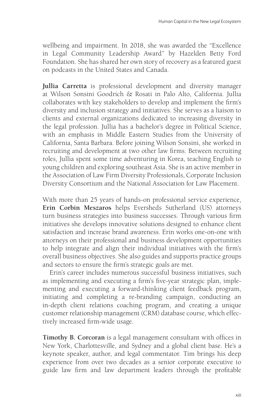wellbeing and impairment. In 2018, she was awarded the "Excellence in Legal Community Leadership Award" by Hazelden Betty Ford Foundation. She has shared her own story of recovery as a featured guest on podcasts in the United States and Canada.

**Jullia Carretta** is professional development and diversity manager at Wilson Sonsini Goodrich & Rosati in Palo Alto, California. Jullia collaborates with key stakeholders to develop and implement the firm's diversity and inclusion strategy and initiatives. She serves as a liaison to clients and external organizations dedicated to increasing diversity in the legal profession. Jullia has a bachelor's degree in Political Science, with an emphasis in Middle Eastern Studies from the University of California, Santa Barbara. Before joining Wilson Sonsini, she worked in recruiting and development at two other law firms. Between recruiting roles, Jullia spent some time adventuring in Korea, teaching English to young children and exploring southeast Asia. She is an active member in the Association of Law Firm Diversity Professionals, Corporate Inclusion Diversity Consortium and the National Association for Law Placement.

With more than 25 years of hands-on professional service experience, **Erin Corbin Meszaros** helps Eversheds Sutherland (US) attorneys turn business strategies into business successes. Through various firm initiatives she develops innovative solutions designed to enhance client satisfaction and increase brand awareness. Erin works one-on-one with attorneys on their professional and business development opportunities to help integrate and align their individual initiatives with the firm's overall business objectives. She also guides and supports practice groups and sectors to ensure the firm's strategic goals are met.

Erin's career includes numerous successful business initiatives, such as implementing and executing a firm's five-year strategic plan, implementing and executing a forward-thinking client feedback program, initiating and completing a re-branding campaign, conducting an in-depth client relations coaching program, and creating a unique customer relationship management (CRM) database course, which effectively increased firm-wide usage.

**Timothy B. Corcoran** is a legal management consultant with offices in New York, Charlottesville, and Sydney and a global client base. He's a keynote speaker, author, and legal commentator. Tim brings his deep experience from over two decades as a senior corporate executive to guide law firm and law department leaders through the profitable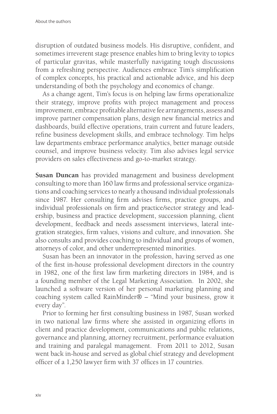disruption of outdated business models. His disruptive, confident, and sometimes irreverent stage presence enables him to bring levity to topics of particular gravitas, while masterfully navigating tough discussions from a refreshing perspective. Audiences embrace Tim's simplification of complex concepts, his practical and actionable advice, and his deep understanding of both the psychology and economics of change.

As a change agent, Tim's focus is on helping law firms operationalize their strategy, improve profits with project management and process improvement, embrace profitable alternative fee arrangements, assess and improve partner compensation plans, design new financial metrics and dashboards, build effective operations, train current and future leaders, refine business development skills, and embrace technology. Tim helps law departments embrace performance analytics, better manage outside counsel, and improve business velocity. Tim also advises legal service providers on sales effectiveness and go-to-market strategy.

**Susan Duncan** has provided management and business development consulting to more than 160 law firms and professional service organizations and coaching services to nearly a thousand individual professionals since 1987. Her consulting firm advises firms, practice groups, and individual professionals on firm and practice/sector strategy and leadership, business and practice development, succession planning, client development, feedback and needs assessment interviews, lateral integration strategies, firm values, visions and culture, and innovation. She also consults and provides coaching to individual and groups of women, attorneys of color, and other underrepresented minorities.

Susan has been an innovator in the profession, having served as one of the first in-house professional development directors in the country in 1982, one of the first law firm marketing directors in 1984, and is a founding member of the Legal Marketing Association. In 2002, she launched a software version of her personal marketing planning and coaching system called RainMinder® – "Mind your business, grow it every day".

Prior to forming her first consulting business in 1987, Susan worked in two national law firms where she assisted in organizing efforts in client and practice development, communications and public relations, governance and planning, attorney recruitment, performance evaluation and training and paralegal management. From 2011 to 2012, Susan went back in-house and served as global chief strategy and development officer of a 1,250 lawyer firm with 37 offices in 17 countries.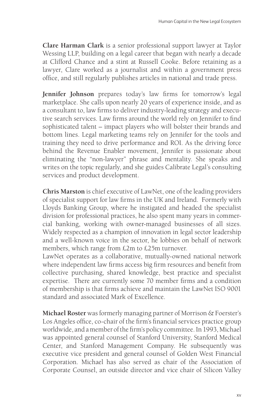**Clare Harman Clark** is a senior professional support lawyer at Taylor Wessing LLP, building on a legal career that began with nearly a decade at Clifford Chance and a stint at Russell Cooke. Before retaining as a lawyer, Clare worked as a journalist and within a government press office, and still regularly publishes articles in national and trade press.

**Jennifer Johnson** prepares today's law firms for tomorrow's legal marketplace. She calls upon nearly 20 years of experience inside, and as a consultant to, law firms to deliver industry-leading strategy and executive search services. Law firms around the world rely on Jennifer to find sophisticated talent – impact players who will bolster their brands and bottom lines. Legal marketing teams rely on Jennifer for the tools and training they need to drive performance and ROI. As the driving force behind the Revenue Enabler movement, Jennifer is passionate about eliminating the "non-lawyer" phrase and mentality. She speaks and writes on the topic regularly, and she guides Calibrate Legal's consulting services and product development.

**Chris Marston** is chief executive of LawNet, one of the leading providers of specialist support for law firms in the UK and Ireland. Formerly with Lloyds Banking Group, where he instigated and headed the specialist division for professional practices, he also spent many years in commercial banking, working with owner-managed businesses of all sizes. Widely respected as a champion of innovation in legal sector leadership and a well-known voice in the sector, he lobbies on behalf of network members, which range from £2m to £25m turnover.

LawNet operates as a collaborative, mutually-owned national network where independent law firms access big firm resources and benefit from collective purchasing, shared knowledge, best practice and specialist expertise. There are currently some 70 member firms and a condition of membership is that firms achieve and maintain the LawNet ISO 9001 standard and associated Mark of Excellence.

**Michael Roster** was formerly managing partner of Morrison & Foerster's Los Angeles office, co-chair of the firm's financial services practice group worldwide, and a member of the firm's policy committee. In 1993, Michael was appointed general counsel of Stanford University, Stanford Medical Center, and Stanford Management Company. He subsequently was executive vice president and general counsel of Golden West Financial Corporation. Michael has also served as chair of the Association of Corporate Counsel, an outside director and vice chair of Silicon Valley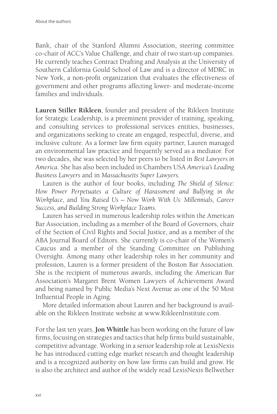Bank, chair of the Stanford Alumni Association, steering committee co-chair of ACC's Value Challenge, and chair of two start-up companies. He currently teaches Contract Drafting and Analysis at the University of Southern California Gould School of Law and is a director of MDRC in New York, a non-profit organization that evaluates the effectiveness of government and other programs affecting lower- and moderate-income families and individuals.

**Lauren Stiller Rikleen**, founder and president of the Rikleen Institute for Strategic Leadership, is a preeminent provider of training, speaking, and consulting services to professional services entities, businesses, and organizations seeking to create an engaged, respectful, diverse, and inclusive culture. As a former law firm equity partner, Lauren managed an environmental law practice and frequently served as a mediator. For two decades, she was selected by her peers to be listed in *Best Lawyers in America*. She has also been included in Chambers USA *America's Leading Business Lawyers* and in *Massachusetts Super Lawyers*.

Lauren is the author of four books, including *The Shield of Silence: How Power Perpetuates a Culture of Harassment and Bullying in the Workplace*, and *You Raised Us – Now Work With Us: Millennials, Career Success, and Building Strong Workplace Teams*.

Lauren has served in numerous leadership roles within the American Bar Association, including as a member of the Board of Governors, chair of the Section of Civil Rights and Social Justice, and as a member of the ABA Journal Board of Editors. She currently is co-chair of the Women's Caucus and a member of the Standing Committee on Publishing Oversight. Among many other leadership roles in her community and profession, Lauren is a former president of the Boston Bar Association. She is the recipient of numerous awards, including the American Bar Association's Margaret Brent Women Lawyers of Achievement Award and being named by Public Media's Next Avenue as one of the 50 Most Influential People in Aging.

More detailed information about Lauren and her background is available on the Rikleen Institute website at www.RikleenInstitute.com.

For the last ten years, **Jon Whittle** has been working on the future of law firms, focusing on strategies and tactics that help firms build sustainable, competitive advantage. Working in a senior leadership role at LexisNexis he has introduced cutting edge market research and thought leadership and is a recognized authority on how law firms can build and grow. He is also the architect and author of the widely read LexisNexis Bellwether